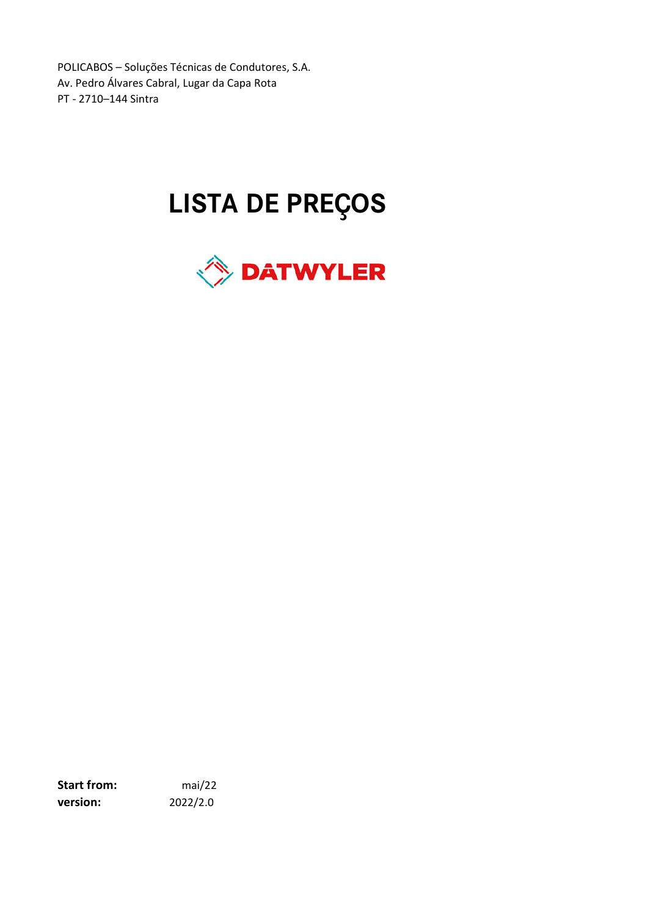POLICABOS – Soluções Técnicas de Condutores, S.A. Av. Pedro Álvares Cabral, Lugar da Capa Rota PT - 2710–144 Sintra

# LISTA DE PREÇOS



Start from: mai/22 version: 2022/2.0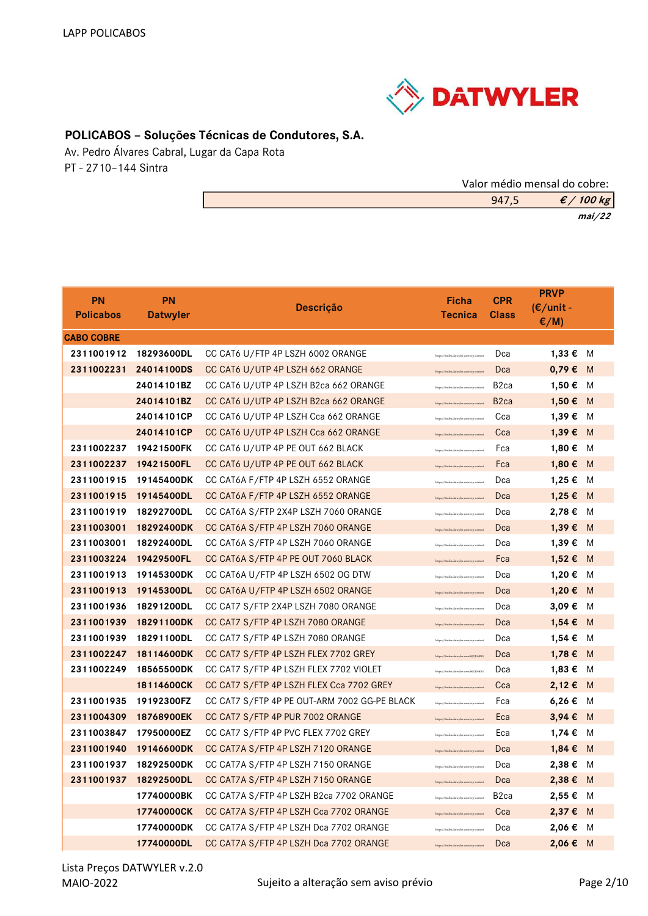

# POLICABOS – Soluções Técnicas de Condutores, S.A.

Av. Pedro Álvares Cabral, Lugar da Capa Rota PT - 2710–144 Sintra

| Valor médio mensal do cobre: |                      |
|------------------------------|----------------------|
| 947.5                        | $\mathcal{E}/100$ kg |
|                              | mai/22               |

| <b>PN</b><br><b>Policabos</b> | <b>PN</b><br><b>Datwyler</b> | <b>Descrição</b>                             | <b>Ficha</b><br><b>Tecnica</b>           | <b>CPR</b><br><b>Class</b> | <b>PRVP</b><br>$(\epsilon$ /unit -<br>$\epsilon/M$ ) |     |
|-------------------------------|------------------------------|----------------------------------------------|------------------------------------------|----------------------------|------------------------------------------------------|-----|
| <b>CABO COBRE</b>             |                              |                                              |                                          |                            |                                                      |     |
| 2311001912                    | 18293600DL                   | CC CAT6 U/FTP 4P LSZH 6002 ORANGE            | https://itinfra.datwyler.com/wp-content  | Dca                        | 1,33 € M                                             |     |
| 2311002231                    | 24014100DS                   | CC CAT6 U/UTP 4P LSZH 662 ORANGE             | https://itinfra.datwyler.com/wp-content  | Dca                        | $0,79 \in M$                                         |     |
|                               | 24014101BZ                   | CC CAT6 U/UTP 4P LSZH B2ca 662 ORANGE        | https://itinfra.datwyler.com/wp-content  | B <sub>2</sub> ca          | 1,50€                                                | M   |
|                               | 24014101BZ                   | CC CAT6 U/UTP 4P LSZH B2ca 662 ORANGE        | https://itinfra.datwyler.com/wp-content  | B <sub>2ca</sub>           | 1,50 € M                                             |     |
|                               | 24014101CP                   | CC CAT6 U/UTP 4P LSZH Cca 662 ORANGE         | https://itinfra.datwyler.com/wp-content  | Cca                        | 1,39€                                                | M   |
|                               | 24014101CP                   | CC CAT6 U/UTP 4P LSZH Cca 662 ORANGE         | https://itinfra.datwyler.com/wp-content  | Cca                        | 1,39€                                                | - M |
| 2311002237                    | 19421500FK                   | CC CAT6 U/UTP 4P PE OUT 662 BLACK            | https://itinfra.datwyler.com/wp-content  | Fca                        | 1,80€                                                | M   |
| 2311002237                    | 19421500FL                   | CC CAT6 U/UTP 4P PE OUT 662 BLACK            | https://itinfra.datwyler.com/wp-content  | Fca                        | 1,80 € M                                             |     |
| 2311001915                    | 19145400DK                   | CC CAT6A F/FTP 4P LSZH 6552 ORANGE           | https://itinfra.datwyler.com/wp-content  | Dca                        | 1,25 € M                                             |     |
| 2311001915                    | 19145400DL                   | CC CAT6A F/FTP 4P LSZH 6552 ORANGE           | https://itinfra.datwyler.com/wp-content  | Dca                        | 1,25 € M                                             |     |
| 2311001919                    | 18292700DL                   | CC CAT6A S/FTP 2X4P LSZH 7060 ORANGE         | https://itinfra.datwyler.com/wp-content  | Dca                        | 2,78€                                                | M   |
| 2311003001                    | 18292400DK                   | CC CAT6A S/FTP 4P LSZH 7060 ORANGE           | https://itinfra.datwyler.com/wp-content  | Dca                        | 1,39€                                                | M   |
| 2311003001                    | 18292400DL                   | CC CAT6A S/FTP 4P LSZH 7060 ORANGE           | https://itinfra.datwyler.com/wp-content  | Dca                        | 1,39€                                                | M   |
| 2311003224                    | 19429500FL                   | CC CAT6A S/FTP 4P PE OUT 7060 BLACK          | https://itinfra.datwyler.com/wp-content  | Fca                        | 1,52 € M                                             |     |
| 2311001913                    | 19145300DK                   | CC CAT6A U/FTP 4P LSZH 6502 OG DTW           | https://itinfra.datwyler.com/wp-content  | Dca                        | 1,20€                                                | M   |
| 2311001913                    | 19145300DL                   | CC CAT6A U/FTP 4P LSZH 6502 ORANGE           | https://itinfra.datwyler.com/wp-content  | Dca                        | 1,20 € M                                             |     |
| 2311001936                    | 18291200DL                   | CC CAT7 S/FTP 2X4P LSZH 7080 ORANGE          | https://itinfra.datwyler.com/wp-content  | Dca                        | 3,09€                                                | M   |
| 2311001939                    | 18291100DK                   | CC CAT7 S/FTP 4P LSZH 7080 ORANGE            | https://itinfra.datwyler.com/wp-content  | Dca                        | $1,54 \in$                                           | M   |
| 2311001939                    | 18291100DL                   | CC CAT7 S/FTP 4P LSZH 7080 ORANGE            | https://itinfra.datwyler.com/wp-content  | Dca                        | 1,54 €                                               | M   |
| 2311002247                    | 18114600DK                   | CC CAT7 S/FTP 4P LSZH FLEX 7702 GREY         | https://itinfra.datwyler.com/6913/6920.  | Dca                        | 1,78 € M                                             |     |
| 2311002249                    | 18565500DK                   | CC CAT7 S/FTP 4P LSZH FLEX 7702 VIOLET       | https://itinfra.datwyler.com/6913/6920.  | Dca                        | 1,83 € M                                             |     |
|                               | 18114600CK                   | CC CAT7 S/FTP 4P LSZH FLEX Cca 7702 GREY     | https://itinfra.datwyler.com/wp-content  | Cca                        | 2,12 € M                                             |     |
| 2311001935                    | 19192300FZ                   | CC CAT7 S/FTP 4P PE OUT-ARM 7002 GG-PE BLACK | https://itinfra.datwyler.com/wp-content  | Fca                        | 6,26 € M                                             |     |
| 2311004309                    | 18768900EK                   | CC CAT7 S/FTP 4P PUR 7002 ORANGE             | https://itinfra.datwyler.com/wp-content  | Eca                        | 3,94 € M                                             |     |
| 2311003847                    | 17950000EZ                   | CC CAT7 S/FTP 4P PVC FLEX 7702 GREY          | https://itinfra.datwyler.com/wp-content  | Eca                        | 1,74 €                                               | M   |
| 2311001940                    | 19146600DK                   | CC CAT7A S/FTP 4P LSZH 7120 ORANGE           | https://itinfra.datwyler.com/wp-content  | Dca                        | $1,84 \in M$                                         |     |
|                               | 2311001937 18292500DK        | CC CAT7A S/FTP 4P LSZH 7150 ORANGE           | lattos://itinfra.datwyler.com/wp-content | Dca                        | 2,38 € M                                             |     |
| 2311001937                    | 18292500DL                   | CC CAT7A S/FTP 4P LSZH 7150 ORANGE           | https://itinfra.datwyler.com/wp-content  | Dca                        | 2,38 € M                                             |     |
|                               | 17740000BK                   | CC CAT7A S/FTP 4P LSZH B2ca 7702 ORANGE      | https://itinfra.datwyler.com/wp-content  | B <sub>2</sub> ca          | 2,55 € M                                             |     |
|                               | 17740000CK                   | CC CAT7A S/FTP 4P LSZH Cca 7702 ORANGE       | https://itinfra.datwyler.com/wp-content  | Cca                        | 2,37 € M                                             |     |
|                               | 17740000DK                   | CC CAT7A S/FTP 4P LSZH Dca 7702 ORANGE       | https://itinfra.datwyler.com/wp-conten   | Dca                        | 2,06 € M                                             |     |
|                               | 17740000DL                   | CC CAT7A S/FTP 4P LSZH Dca 7702 ORANGE       | https://itinfra.datwyler.com/wp-content  | Dca                        | 2,06 € M                                             |     |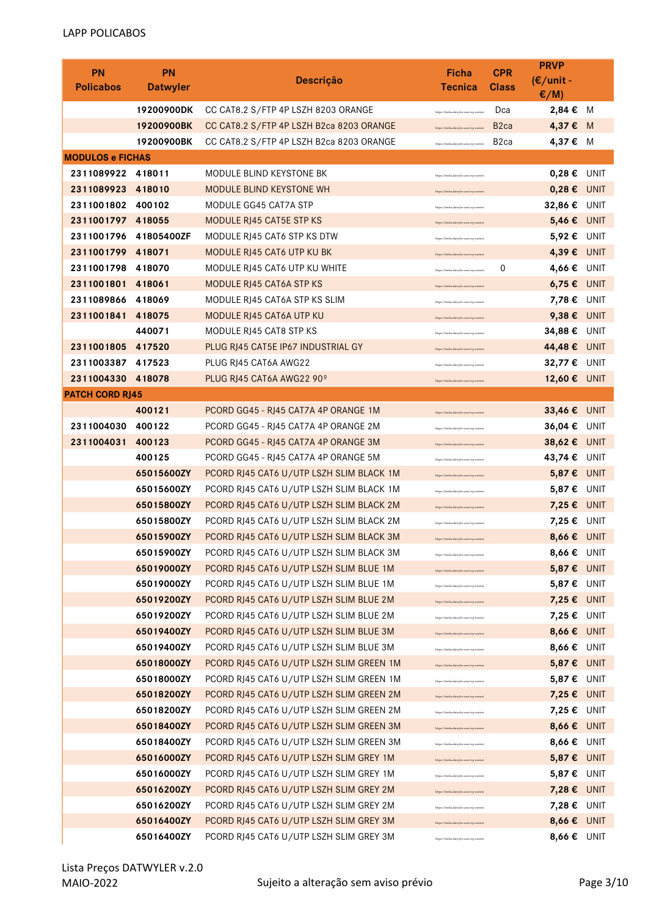| <b>PN</b>               | <b>PN</b>                | Descrição                                                                            | Ficha                                                                            | <b>CPR</b>        | <b>PRVP</b><br>$(E/unit -$ |             |
|-------------------------|--------------------------|--------------------------------------------------------------------------------------|----------------------------------------------------------------------------------|-------------------|----------------------------|-------------|
| <b>Policabos</b>        | <b>Datwyler</b>          |                                                                                      | <b>Tecnica</b>                                                                   | <b>Class</b>      | $E/M$ )                    |             |
|                         | 19200900DK               | CC CAT8.2 S/FTP 4P LSZH 8203 ORANGE                                                  | https://itinfra.datwyler.com/wp-content                                          | Dca               | 2,84 €                     | M           |
|                         | 19200900BK               | CC CAT8.2 S/FTP 4P LSZH B2ca 8203 ORANGE                                             | https://itinfra.datwyler.com/wp-content                                          | B <sub>2</sub> ca | 4,37€                      | - M         |
|                         | 19200900BK               | CC CAT8.2 S/FTP 4P LSZH B2ca 8203 ORANGE                                             | https://itinfra.datwyler.com/wp-content                                          | B <sub>2</sub> ca | 4,37 € M                   |             |
| <b>MODULOS e FICHAS</b> |                          |                                                                                      |                                                                                  |                   |                            |             |
| 2311089922 418011       |                          | MODULE BLIND KEYSTONE BK                                                             | https://itinfra.datwyler.com/wp-conter                                           |                   | $0,28 \in$                 | UNIT        |
| 2311089923              | 418010                   | <b>MODULE BLIND KEYSTONE WH</b>                                                      | https://itinfra.datwyler.com/wp-conten                                           |                   | $0,28 \in$                 | <b>UNIT</b> |
| 2311001802 400102       |                          | MODULE GG45 CAT7A STP                                                                | https://itinfra.datwyler.com/wp-conten                                           |                   | 32,86 € UNIT               |             |
| 2311001797 418055       |                          | <b>MODULE RJ45 CAT5E STP KS</b>                                                      | https://itinfra.datwyler.com/wp-conter                                           |                   | 5,46 € UNIT                |             |
| 2311001796              | 41805400ZF               | MODULE RJ45 CAT6 STP KS DTW                                                          | https://itinfra.datwyler.com/wp-conten                                           |                   | 5,92 € UNIT                |             |
| 2311001799              | 418071                   | MODULE RJ45 CAT6 UTP KU BK                                                           | https://itinfra.datwyler.com/wp-conten                                           |                   | 4,39 € UNIT                |             |
| 2311001798              | 418070                   | MODULE RJ45 CAT6 UTP KU WHITE                                                        | https://itinfra.datwyler.com/wp-conten                                           | 0                 | 4,66€                      | UNIT        |
| 2311001801              | 418061                   | <b>MODULE RJ45 CAT6A STP KS</b>                                                      | https://itinfra.datwyler.com/wp-conten                                           |                   | $6,75 \in$ UNIT            |             |
| 2311089866              | 418069                   | MODULE RJ45 CAT6A STP KS SLIM                                                        | https://itinfra.datwyler.com/wp-conten                                           |                   | 7,78 € UNIT                |             |
| 2311001841              | 418075                   | MODULE RJ45 CAT6A UTP KU                                                             | https://itinfra.datwyler.com/wp-conten                                           |                   | 9,38€                      | <b>UNIT</b> |
|                         | 440071                   | MODULE RJ45 CAT8 STP KS                                                              | https://itinfra.datwyler.com/wp-conter                                           |                   | 34,88€                     | UNIT        |
| 2311001805              | 417520                   | PLUG RJ45 CAT5E IP67 INDUSTRIAL GY                                                   | https://itinfra.datwyler.com/wp-conten                                           |                   | 44,48 € UNIT               |             |
| 2311003387 417523       |                          | PLUG RJ45 CAT6A AWG22                                                                | https://itinfra.datwyler.com/wp-conten                                           |                   | 32,77 € UNIT               |             |
| 2311004330 418078       |                          | PLUG RJ45 CAT6A AWG22 90º                                                            | https://itinfra.datwyler.com/wp-conten                                           |                   | 12,60 € UNIT               |             |
| <b>PATCH CORD RJ45</b>  |                          |                                                                                      |                                                                                  |                   |                            |             |
|                         | 400121                   | PCORD GG45 - RJ45 CAT7A 4P ORANGE 1M                                                 | https://itinfra.datwyler.com/wp-conten                                           |                   | 33,46 €                    | <b>UNIT</b> |
| 2311004030              | 400122                   | PCORD GG45 - RJ45 CAT7A 4P ORANGE 2M                                                 | https://itinfra.datwyler.com/wp-conten                                           |                   | 36,04 € UNIT               |             |
| 2311004031              | 400123                   | PCORD GG45 - RJ45 CAT7A 4P ORANGE 3M                                                 | https://itinfra.datwyler.com/wp-conten                                           |                   | 38,62 € UNIT               |             |
|                         | 400125                   | PCORD GG45 - RJ45 CAT7A 4P ORANGE 5M                                                 | https://itinfra.datwyler.com/wp-conten                                           |                   | 43,74 € UNIT               |             |
|                         | 65015600ZY<br>65015600ZY | PCORD RJ45 CAT6 U/UTP LSZH SLIM BLACK 1M<br>PCORD RJ45 CAT6 U/UTP LSZH SLIM BLACK 1M | https://itinfra.datwyler.com/wp-conten                                           |                   | 5,87 € UNIT<br>5,87€       | <b>UNIT</b> |
|                         | 65015800ZY               | PCORD RJ45 CAT6 U/UTP LSZH SLIM BLACK 2M                                             | https://itinfra.datwyler.com/wp-conten                                           |                   | 7,25€                      | <b>UNIT</b> |
|                         | 65015800ZY               | PCORD RJ45 CAT6 U/UTP LSZH SLIM BLACK 2M                                             | https://itinfra.datwyler.com/wp-conten                                           |                   | 7,25€                      | UNIT        |
|                         | 65015900ZY               | PCORD RJ45 CAT6 U/UTP LSZH SLIM BLACK 3M                                             | https://itinfra.datwyler.com/wp-conter<br>https://itinfra.datwyler.com/wp-conten |                   | 8,66 € UNIT                |             |
|                         | 65015900ZY               | PCORD RJ45 CAT6 U/UTP LSZH SLIM BLACK 3M                                             | https://itinfra.datwyler.com/wp-conten                                           |                   | 8,66 € UNIT                |             |
|                         | 65019000ZY               | PCORD RJ45 CAT6 U/UTP LSZH SLIM BLUE 1M                                              | https://itinfra.datwyler.com/wp-conten                                           |                   | 5,87 € UNIT                |             |
|                         | 65019000ZY               | PCORD RJ45 CAT6 U/UTP LSZH SLIM BLUE 1M                                              | https://itinfra.datwyler.com/wp-conten                                           |                   | 5,87 € UNIT                |             |
|                         | 65019200ZY               | PCORD RJ45 CAT6 U/UTP LSZH SLIM BLUE 2M                                              | https://itinfra.datwyler.com/wp-conten                                           |                   | 7,25 € UNIT                |             |
|                         | 65019200ZY               | PCORD RJ45 CAT6 U/UTP LSZH SLIM BLUE 2M                                              | https://itinfra.datwyler.com/wp-content                                          |                   | 7,25€                      | UNIT        |
|                         | 65019400ZY               | PCORD RJ45 CAT6 U/UTP LSZH SLIM BLUE 3M                                              | https://itinfra.datwyler.com/wp-conten                                           |                   | 8,66 € UNIT                |             |
|                         | 65019400ZY               | PCORD RJ45 CAT6 U/UTP LSZH SLIM BLUE 3M                                              | https://itinfra.datwyler.com/wp-conten                                           |                   | 8,66 € UNIT                |             |
|                         | 65018000ZY               | PCORD RJ45 CAT6 U/UTP LSZH SLIM GREEN 1M                                             | https://itinfra.datwyler.com/wp-conten                                           |                   | 5,87 € UNIT                |             |
|                         | 65018000ZY               | PCORD RJ45 CAT6 U/UTP LSZH SLIM GREEN 1M                                             | https://itinfra.datwyler.com/wp-conten                                           |                   | 5,87 € UNIT                |             |
|                         | 65018200ZY               | PCORD RJ45 CAT6 U/UTP LSZH SLIM GREEN 2M                                             | https://itinfra.datwyler.com/wp-conten                                           |                   | 7,25 € UNIT                |             |
|                         | 65018200ZY               | PCORD RJ45 CAT6 U/UTP LSZH SLIM GREEN 2M                                             | https://itinfra.datwyler.com/wp-conten                                           |                   | 7,25 € UNIT                |             |
|                         | 65018400ZY               | PCORD RJ45 CAT6 U/UTP LSZH SLIM GREEN 3M                                             | https://itinfra.datwyler.com/wp-conten                                           |                   | 8,66 € UNIT                |             |
|                         | 65018400ZY               | PCORD RJ45 CAT6 U/UTP LSZH SLIM GREEN 3M                                             | https://itinfra.datwyler.com/wp-conten                                           |                   | 8,66 € UNIT                |             |
|                         | 65016000ZY               | PCORD RJ45 CAT6 U/UTP LSZH SLIM GREY 1M                                              | https://itinfra.datwyler.com/wp-conten                                           |                   | 5,87 € UNIT                |             |
|                         | 65016000ZY               | PCORD RJ45 CAT6 U/UTP LSZH SLIM GREY 1M                                              | https://itinfra.datwyler.com/wp-conten                                           |                   | 5,87 € UNIT                |             |
|                         | 65016200ZY               | PCORD RJ45 CAT6 U/UTP LSZH SLIM GREY 2M                                              | https://itinfra.datwyler.com/wp-conten                                           |                   | 7,28 € UNIT                |             |
|                         | 65016200ZY               | PCORD RJ45 CAT6 U/UTP LSZH SLIM GREY 2M                                              | https://itinfra.datwyler.com/wp-conten                                           |                   | 7,28 € UNIT                |             |
|                         | 65016400ZY               | PCORD RJ45 CAT6 U/UTP LSZH SLIM GREY 3M                                              | https://itinfra.datwyler.com/wp-conten                                           |                   | 8,66 € UNIT                |             |
|                         | 65016400ZY               | PCORD RJ45 CAT6 U/UTP LSZH SLIM GREY 3M                                              | https://itinfra.datwyler.com/wp-conten                                           |                   | 8,66 € UNIT                |             |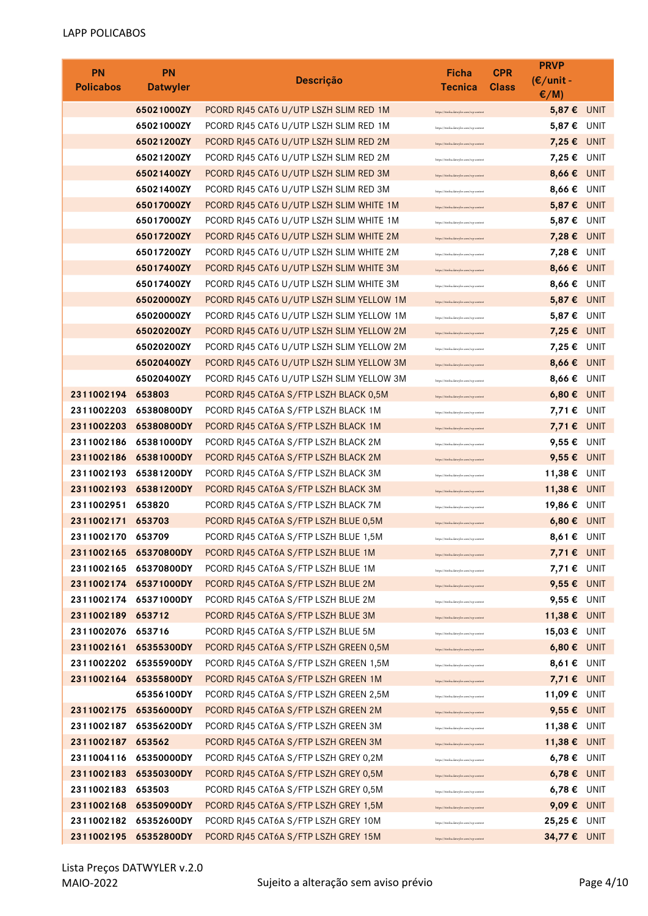| <b>PN</b>         | <b>PN</b>                           | <b>Descrição</b>                                                                      | Ficha                                                                            | <b>CPR</b>   | <b>PRVP</b><br>$(E/unit -$  |             |
|-------------------|-------------------------------------|---------------------------------------------------------------------------------------|----------------------------------------------------------------------------------|--------------|-----------------------------|-------------|
| <b>Policabos</b>  | <b>Datwyler</b>                     |                                                                                       | <b>Tecnica</b>                                                                   | <b>Class</b> | E/M                         |             |
|                   | 65021000ZY                          | PCORD RJ45 CAT6 U/UTP LSZH SLIM RED 1M                                                | https://itinfra.datwyler.com/wp-conten                                           |              | 5,87 €                      | <b>UNIT</b> |
|                   | 65021000ZY                          | PCORD RJ45 CAT6 U/UTP LSZH SLIM RED 1M                                                | https://itinfra.datwyler.com/wp-content                                          |              | 5,87€                       | UNIT        |
|                   | 65021200ZY                          | PCORD RJ45 CAT6 U/UTP LSZH SLIM RED 2M                                                | https://itinfra.datwyler.com/wp-conten                                           |              | $7,25 \in$                  | UNIT        |
|                   | 65021200ZY                          | PCORD RJ45 CAT6 U/UTP LSZH SLIM RED 2M                                                | https://itinfra.datwyler.com/wp-content                                          |              | 7,25€                       | UNIT        |
|                   | 65021400ZY                          | PCORD RJ45 CAT6 U/UTP LSZH SLIM RED 3M                                                | https://itinfra.datwyler.com/wp-conten                                           |              | 8,66€                       | <b>UNIT</b> |
|                   | 65021400ZY                          | PCORD RJ45 CAT6 U/UTP LSZH SLIM RED 3M                                                | https://itinfra.datwyler.com/wp-conten                                           |              | 8,66€                       | UNIT        |
|                   | 65017000ZY                          | PCORD RJ45 CAT6 U/UTP LSZH SLIM WHITE 1M                                              | https://itinfra.datwyler.com/wp-conte                                            |              | 5,87€                       | <b>UNIT</b> |
|                   | 65017000ZY                          | PCORD RJ45 CAT6 U/UTP LSZH SLIM WHITE 1M                                              | https://itinfra.datwyler.com/wp-conten                                           |              | 5,87 € UNIT                 |             |
|                   | 65017200ZY                          | PCORD RJ45 CAT6 U/UTP LSZH SLIM WHITE 2M                                              | https://itinfra.datwyler.com/wp-conten                                           |              | 7,28 € UNIT                 |             |
|                   | 65017200ZY                          | PCORD RJ45 CAT6 U/UTP LSZH SLIM WHITE 2M                                              | https://itinfra.datwyler.com/wp-conter                                           |              | 7,28€                       | UNIT        |
|                   | 65017400ZY<br>65017400ZY            | PCORD RJ45 CAT6 U/UTP LSZH SLIM WHITE 3M                                              | https://itinfra.datwyler.com/wp-content                                          |              | 8,66€                       | <b>UNIT</b> |
|                   | 65020000ZY                          | PCORD RJ45 CAT6 U/UTP LSZH SLIM WHITE 3M<br>PCORD RJ45 CAT6 U/UTP LSZH SLIM YELLOW 1M | https://itinfra.datwyler.com/wp-conten                                           |              | 8,66€<br>5,87 € UNIT        | UNIT        |
|                   | 65020000ZY                          | PCORD RJ45 CAT6 U/UTP LSZH SLIM YELLOW 1M                                             | https://itinfra.datwyler.com/wp-conten                                           |              | 5,87 € UNIT                 |             |
|                   | 65020200ZY                          | PCORD RJ45 CAT6 U/UTP LSZH SLIM YELLOW 2M                                             | https://itinfra.datwyler.com/wp-conten                                           |              | 7,25 € UNIT                 |             |
|                   | 65020200ZY                          | PCORD RJ45 CAT6 U/UTP LSZH SLIM YELLOW 2M                                             | https://itinfra.datwyler.com/wp-conten                                           |              | 7,25€                       | UNIT        |
|                   | 65020400ZY                          | PCORD RJ45 CAT6 U/UTP LSZH SLIM YELLOW 3M                                             | https://itinfra.datwyler.com/wp-conter<br>https://itinfra.datwyler.com/wp-conten |              | 8,66 € UNIT                 |             |
|                   | 65020400ZY                          | PCORD RJ45 CAT6 U/UTP LSZH SLIM YELLOW 3M                                             | https://itinfra.datwyler.com/wp-conten                                           |              | 8,66€                       | UNIT        |
| 2311002194        | 653803                              | PCORD RJ45 CAT6A S/FTP LSZH BLACK 0,5M                                                | https://itinfra.datwyler.com/wp-conte                                            |              | 6,80€                       | UNIT        |
| 2311002203        | 65380800DY                          | PCORD RJ45 CAT6A S/FTP LSZH BLACK 1M                                                  | lattis://itinfra.datwyler.com/wp-conte                                           |              | 7,71 € UNIT                 |             |
| 2311002203        | 65380800DY                          | PCORD RJ45 CAT6A S/FTP LSZH BLACK 1M                                                  | https://itinfra.datwyler.com/wp-conten                                           |              | 7,71 € UNIT                 |             |
| 2311002186        | 65381000DY                          | PCORD RJ45 CAT6A S/FTP LSZH BLACK 2M                                                  | https://itinfra.datwyler.com/wp-conten                                           |              | 9,55€                       | UNIT        |
| 2311002186        | 65381000DY                          | PCORD RJ45 CAT6A S/FTP LSZH BLACK 2M                                                  | https://itinfra.datwyler.com/wp-conten                                           |              | 9,55 $\epsilon$             | UNIT        |
| 2311002193        | 65381200DY                          | PCORD RJ45 CAT6A S/FTP LSZH BLACK 3M                                                  | https://itinfra.datwyler.com/wp-conten                                           |              | 11,38€                      | UNIT        |
| 2311002193        | 65381200DY                          | PCORD RJ45 CAT6A S/FTP LSZH BLACK 3M                                                  | https://itinfra.datwyler.com/wp-conten                                           |              | 11,38€                      | <b>UNIT</b> |
| 2311002951        | 653820                              | PCORD RJ45 CAT6A S/FTP LSZH BLACK 7M                                                  | https://itinfra.datwyler.com/wp-conter                                           |              | 19,86€                      | UNIT        |
| 2311002171        | 653703                              | PCORD RJ45 CAT6A S/FTP LSZH BLUE 0,5M                                                 | .<br>Internet likinden datureler com luco conte                                  |              | $6,80 \in$ UNIT             |             |
| 2311002170 653709 |                                     | PCORD RJ45 CAT6A S/FTP LSZH BLUE 1,5M                                                 | https://itinfra.datwyler.com/wp-content                                          |              | 8,61 € UNIT                 |             |
|                   | 2311002165 65370800DY               | PCORD RJ45 CAT6A S/FTP LSZH BLUE 1M                                                   | https://itinfra.datwyler.com/wp-conten                                           |              | 7,71 € UNIT                 |             |
|                   | 2311002165 65370800DY               | PCORD RJ45 CAT6A S/FTP LSZH BLUE 1M                                                   | https://itinfra.datwyler.com/wp-content                                          |              | 7,71 € UNIT                 |             |
|                   | 2311002174 65371000DY               | PCORD RJ45 CAT6A S/FTP LSZH BLUE 2M                                                   | https://itinfra.datwyler.com/wp-conten                                           |              | 9,55 € UNIT                 |             |
|                   | 2311002174 65371000DY               | PCORD RJ45 CAT6A S/FTP LSZH BLUE 2M                                                   | https://itinfra.datwyler.com/wp-conten                                           |              | 9,55 $\epsilon$ UNIT        |             |
| 2311002189        | 653712                              | PCORD RJ45 CAT6A S/FTP LSZH BLUE 3M                                                   | https://itinfra.datwyler.com/wp-conten                                           |              | 11,38 €                     | <b>UNIT</b> |
| 2311002076        | 653716                              | PCORD RJ45 CAT6A S/FTP LSZH BLUE 5M                                                   | https://itinfra.datwyler.com/wp-content                                          |              | 15,03 € UNIT                |             |
|                   | 2311002161 65355300DY               | PCORD RJ45 CAT6A S/FTP LSZH GREEN 0,5M                                                | https://itinfra.datwyler.com/wp-conten                                           |              | $6,80 \in$ UNIT             |             |
|                   | 2311002202 65355900DY               | PCORD RJ45 CAT6A S/FTP LSZH GREEN 1,5M                                                | https://itinfra.datwyler.com/wp-content                                          |              | 8,61 € UNIT                 |             |
| 2311002164        | 65355800DY                          | PCORD RJ45 CAT6A S/FTP LSZH GREEN 1M                                                  | https://itinfra.datwyler.com/wp-content                                          |              | 7,71 € UNIT                 |             |
|                   | 65356100DY<br>2311002175 65356000DY | PCORD RJ45 CAT6A S/FTP LSZH GREEN 2,5M                                                | https://itinfra.datwyler.com/wp-conten                                           |              | 11,09 € UNIT                |             |
| 2311002187        | 65356200DY                          | PCORD RJ45 CAT6A S/FTP LSZH GREEN 2M<br>PCORD RJ45 CAT6A S/FTP LSZH GREEN 3M          | https://itinfra.datwyler.com/wp-conten                                           |              | 9,55 € UNIT<br>11,38 € UNIT |             |
| 2311002187 653562 |                                     | PCORD RJ45 CAT6A S/FTP LSZH GREEN 3M                                                  | https://itinfra.datwyler.com/wp-content                                          |              | 11,38 € UNIT                |             |
| 2311004116        | 65350000DY                          | PCORD RJ45 CAT6A S/FTP LSZH GREY 0,2M                                                 | https://itinfra.datwyler.com/wp-conten<br>https://itinfra.datwyler.com/wp-conten |              | $6,78 \in$ UNIT             |             |
| 2311002183        | 65350300DY                          | PCORD RJ45 CAT6A S/FTP LSZH GREY 0,5M                                                 | https://itinfra.datwyler.com/wp-content                                          |              | $6,78 \in$ UNIT             |             |
| 2311002183        | 653503                              | PCORD RJ45 CAT6A S/FTP LSZH GREY 0,5M                                                 | https://itinfra.datwyler.com/wp-content                                          |              | 6,78€                       | UNIT        |
| 2311002168        | 65350900DY                          | PCORD RJ45 CAT6A S/FTP LSZH GREY 1,5M                                                 | https://itinfra.datwyler.com/wp-conten                                           |              | 9,09 € UNIT                 |             |
|                   | 2311002182 65352600DY               | PCORD RJ45 CAT6A S/FTP LSZH GREY 10M                                                  | https://itinfra.datwyler.com/wp-conten                                           |              | 25,25 € UNIT                |             |
|                   | 2311002195 65352800DY               | PCORD RJ45 CAT6A S/FTP LSZH GREY 15M                                                  | https://itinfra.datwyler.com/wp-conten                                           |              | 34,77 € UNIT                |             |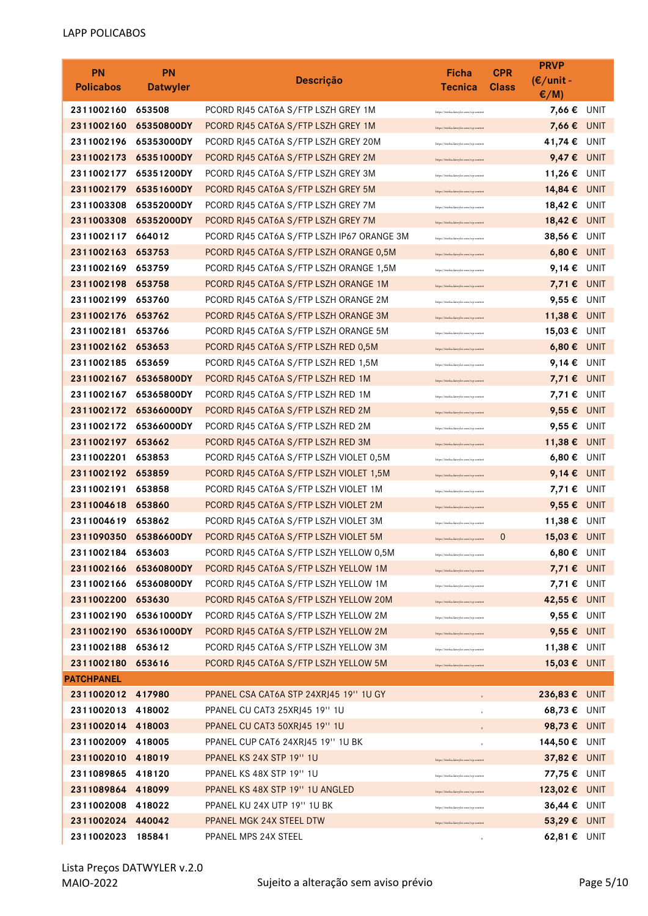| <b>PN</b><br><b>Policabos</b>   | <b>PN</b><br><b>Datwyler</b> | <b>Descrição</b>                                               | Ficha<br>Tecnica                        | <b>CPR</b><br><b>Class</b> | <b>PRVP</b><br>$(E/unit -$<br>$\epsilon/M$ ) |             |
|---------------------------------|------------------------------|----------------------------------------------------------------|-----------------------------------------|----------------------------|----------------------------------------------|-------------|
| 2311002160                      | 653508                       | PCORD RJ45 CAT6A S/FTP LSZH GREY 1M                            | https://itinfra.datwyler.com/wp-conten  |                            | 7,66€                                        | UNIT        |
| 2311002160                      | 65350800DY                   | PCORD RJ45 CAT6A S/FTP LSZH GREY 1M                            | https://itinfra.datwyler.com/wp-conten  |                            | 7,66€                                        | <b>UNIT</b> |
| 2311002196                      | 65353000DY                   | PCORD RJ45 CAT6A S/FTP LSZH GREY 20M                           | https://itinfra.datwyler.com/wp-conten  |                            | 41,74 €                                      | <b>UNIT</b> |
| 2311002173                      | 65351000DY                   | PCORD RJ45 CAT6A S/FTP LSZH GREY 2M                            | https://itinfra.datwyler.com/wp-conten  |                            | 9,47€                                        | UNIT        |
| 2311002177                      | 65351200DY                   | PCORD RJ45 CAT6A S/FTP LSZH GREY 3M                            | https://itinfra.datwyler.com/wp-conten  |                            | 11,26€                                       | UNIT        |
| 2311002179                      | 65351600DY                   | PCORD RJ45 CAT6A S/FTP LSZH GREY 5M                            | https://itinfra.datwyler.com/wp-conten  |                            | 14,84 € UNIT                                 |             |
| 2311003308                      | 65352000DY                   | PCORD RJ45 CAT6A S/FTP LSZH GREY 7M                            | https://itinfra.datwyler.com/wp-conten  |                            | 18,42€                                       | UNIT        |
| 2311003308                      | 65352000DY                   | PCORD RJ45 CAT6A S/FTP LSZH GREY 7M                            | https://itinfra.datwyler.com/wp-conten  |                            | 18,42 €                                      | UNIT        |
| 2311002117                      | 664012                       | PCORD RJ45 CAT6A S/FTP LSZH IP67 ORANGE 3M                     | https://itinfra.datwyler.com/wp-conten  |                            | 38,56€                                       | UNIT        |
| 2311002163                      | 653753                       | PCORD RJ45 CAT6A S/FTP LSZH ORANGE 0,5M                        | https://itinfra.datwyler.com/wp-conten  |                            | 6,80€                                        | <b>UNIT</b> |
| 2311002169                      | 653759                       | PCORD RJ45 CAT6A S/FTP LSZH ORANGE 1,5M                        | https://itinfra.datwyler.com/wp-conten  |                            | 9,14 €                                       | UNIT        |
| 2311002198                      | 653758                       | PCORD RJ45 CAT6A S/FTP LSZH ORANGE 1M                          | https://itinfra.datwyler.com/wp-conten  |                            | 7,71 € UNIT                                  |             |
| 2311002199                      | 653760                       | PCORD RJ45 CAT6A S/FTP LSZH ORANGE 2M                          | https://itinfra.datwyler.com/wp-conten  |                            | 9,55 €                                       | UNIT        |
| 2311002176                      | 653762                       | PCORD RJ45 CAT6A S/FTP LSZH ORANGE 3M                          | https://itinfra.datwyler.com/wp-conten  |                            | 11,38€                                       | <b>UNIT</b> |
| 2311002181                      | 653766                       | PCORD RJ45 CAT6A S/FTP LSZH ORANGE 5M                          | https://itinfra.datwyler.com/wp-conten  |                            | 15,03 €                                      | UNIT        |
| 2311002162                      | 653653                       | PCORD RJ45 CAT6A S/FTP LSZH RED 0,5M                           | https://itinfra.datwyler.com/wp-conten  |                            | 6,80€                                        | <b>UNIT</b> |
| 2311002185                      | 653659                       | PCORD RJ45 CAT6A S/FTP LSZH RED 1,5M                           | https://itinfra.datwyler.com/wp-conten  |                            | 9,14 €                                       | UNIT        |
| 2311002167                      | 65365800DY                   | PCORD RJ45 CAT6A S/FTP LSZH RED 1M                             | https://itinfra.datwyler.com/wp-conten  |                            | 7,71 € UNIT                                  |             |
| 2311002167                      | 65365800DY                   | PCORD RJ45 CAT6A S/FTP LSZH RED 1M                             | https://itinfra.datwyler.com/wp-conten  |                            | 7,71 € UNIT                                  |             |
| 2311002172                      | 65366000DY                   | PCORD RJ45 CAT6A S/FTP LSZH RED 2M                             | https://itinfra.datwyler.com/wp-conten  |                            | 9,55€                                        | UNIT        |
| 2311002172                      | 65366000DY                   | PCORD RJ45 CAT6A S/FTP LSZH RED 2M                             | https://itinfra.datwyler.com/wp-conter  |                            | 9,55€                                        | UNIT        |
| 2311002197                      | 653662                       | PCORD RJ45 CAT6A S/FTP LSZH RED 3M                             | https://itinfra.datwyler.com/wp-conten  |                            | 11,38€                                       | <b>UNIT</b> |
| 2311002201                      | 653853                       | PCORD RJ45 CAT6A S/FTP LSZH VIOLET 0,5M                        | https://itinfra.datwyler.com/wp-conter  |                            | 6,80€                                        | UNIT        |
| 2311002192                      | 653859                       | PCORD RJ45 CAT6A S/FTP LSZH VIOLET 1,5M                        | https://itinfra.datwyler.com/wp-conten  |                            | 9,14 $\epsilon$ UNIT                         |             |
| 2311002191                      | 653858                       | PCORD RJ45 CAT6A S/FTP LSZH VIOLET 1M                          | https://itinfra.datwyler.com/wp-conten  |                            | 7,71€                                        | UNIT        |
| 2311004618                      | 653860                       | PCORD RJ45 CAT6A S/FTP LSZH VIOLET 2M                          | https://itinfra.datwyler.com/wp-content |                            | 9,55€                                        | <b>UNIT</b> |
| 2311004619                      | 653862                       | PCORD RJ45 CAT6A S/FTP LSZH VIOLET 3M                          | https://itinfra.datwyler.com/wp-conten  |                            | 11,38€                                       | UNIT        |
| 2311090350                      | 65386600DY                   | PCORD RJ45 CAT6A S/FTP LSZH VIOLET 5M                          | https://itinfra.datwyler.com/wp-content | $\mathbf 0$                | 15,03 € UNIT                                 |             |
| 2311002184                      | 653603                       | PCORD RJ45 CAT6A S/FTP LSZH YELLOW 0,5M                        | https://itinfra.datwyler.com/wp-conten  |                            | $6,80 \in \text{UNIT}$                       |             |
| 2311002166                      | 65360800DY                   | PCORD RJ45 CAT6A S/FTP LSZH YELLOW 1M                          | https://itinfra.datwyler.com/wp-conten  |                            | 7,71 € UNIT                                  |             |
|                                 | 2311002166 65360800DY        | PCORD RJ45 CAT6A S/FTP LSZH YELLOW 1M                          | https://itinfra.datwyler.com/wp-conten  |                            | 7,71 € UNIT                                  |             |
| 2311002200                      | 653630                       | PCORD RJ45 CAT6A S/FTP LSZH YELLOW 20M                         | https://itinfra.datwyler.com/wp-conten  |                            | 42,55 € UNIT                                 |             |
| 2311002190                      | 65361000DY                   | PCORD RJ45 CAT6A S/FTP LSZH YELLOW 2M                          | https://itinfra.datwyler.com/wp-conten  |                            | 9,55 € UNIT                                  |             |
| 2311002190                      | 65361000DY                   | PCORD RJ45 CAT6A S/FTP LSZH YELLOW 2M                          | https://itinfra.datwyler.com/wp-conten  |                            | 9,55 € UNIT                                  |             |
| 2311002188                      | 653612                       | PCORD RJ45 CAT6A S/FTP LSZH YELLOW 3M                          | https://itinfra.datwyler.com/wp-conten  |                            | 11,38 € UNIT                                 |             |
| 2311002180                      | 653616                       | PCORD RJ45 CAT6A S/FTP LSZH YELLOW 5M                          | https://itinfra.datwyler.com/wp-conten  |                            | 15,03 € UNIT                                 |             |
| <b>PATCHPANEL</b>               |                              |                                                                |                                         |                            |                                              |             |
| 2311002012 417980               |                              | PPANEL CSA CAT6A STP 24XRJ45 19" 1U GY                         | $\circ$                                 |                            | 236,83 € UNIT                                |             |
| 2311002013 418002               |                              | PPANEL CU CAT3 25XRJ45 19" 1U                                  |                                         |                            | 68,73 $€$ UNIT                               |             |
| 2311002014 418003               |                              | PPANEL CU CAT3 50XRJ45 19" 1U                                  |                                         |                            | 98,73 € UNIT                                 |             |
| 2311002009                      | 418005                       | PPANEL CUP CAT6 24XRJ45 19" 1U BK                              |                                         |                            | 144,50€                                      | UNIT        |
| 2311002010                      | 418019                       | PPANEL KS 24X STP 19" 1U                                       | https://itinfra.datwyler.com/wp-conter  |                            | 37,82 € UNIT                                 |             |
| 2311089865<br>2311089864 418099 | 418120                       | PPANEL KS 48X STP 19" 1U                                       | /itinfra.datwyler.com/wp-conter         |                            | 77,75 € UNIT                                 |             |
| 2311002008                      | 418022                       | PPANEL KS 48X STP 19" 1U ANGLED<br>PPANEL KU 24X UTP 19" 1U BK | sttps://itinfra.datwyler.com/wp-conter  |                            | 123,02 € UNIT<br>36,44 € UNIT                |             |
| 2311002024                      | 440042                       | PPANEL MGK 24X STEEL DTW                                       | ttps://itinfra.datwyler.com/wp-conten   |                            | 53,29 € UNIT                                 |             |
| 2311002023                      | 185841                       | PPANEL MPS 24X STEEL                                           | https://itinfra.datwyler.com/wp-conten  |                            | 62,81 € UNIT                                 |             |
|                                 |                              |                                                                | $\mathfrak o$                           |                            |                                              |             |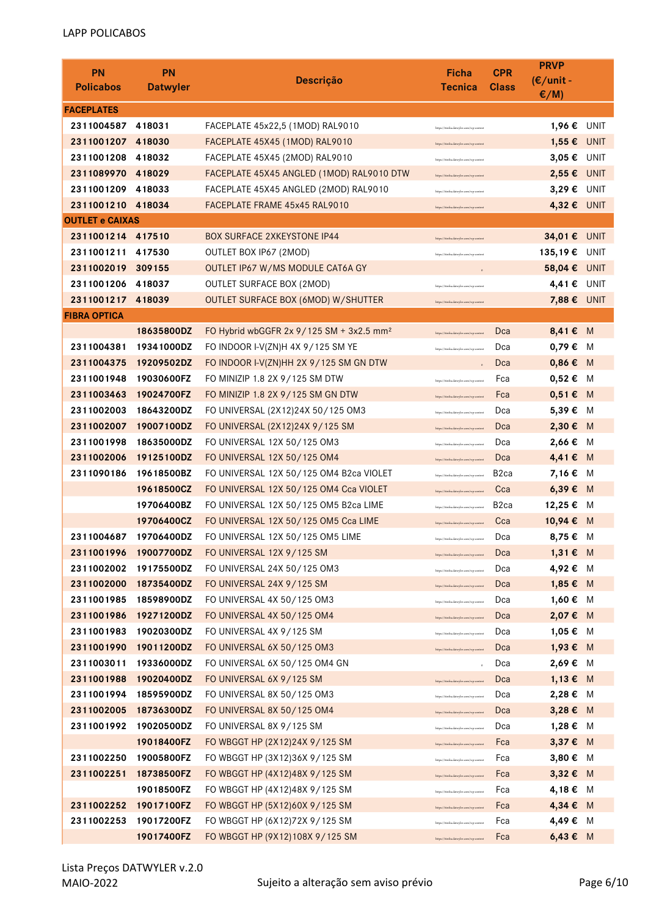| <b>PN</b><br><b>Policabos</b> | <b>PN</b><br><b>Datwyler</b> | <b>Descrição</b>                                     | <b>Ficha</b><br><b>Tecnica</b>          | <b>CPR</b><br><b>Class</b> | <b>PRVP</b><br>$(E/unit -$<br>$\epsilon/M$ ) |      |
|-------------------------------|------------------------------|------------------------------------------------------|-----------------------------------------|----------------------------|----------------------------------------------|------|
| <b>FACEPLATES</b>             |                              |                                                      |                                         |                            |                                              |      |
| 2311004587 418031             |                              | FACEPLATE 45x22,5 (1MOD) RAL9010                     | https://itinfra.datwyler.com/wp-content |                            | 1,96 € UNIT                                  |      |
| 2311001207 418030             |                              | FACEPLATE 45X45 (1MOD) RAL9010                       | https://itinfra.datwyler.com/wp-conten  |                            | 1,55 € UNIT                                  |      |
| 2311001208 418032             |                              | FACEPLATE 45X45 (2MOD) RAL9010                       | https://itinfra.datwyler.com/wp-conten  |                            | 3,05 € UNIT                                  |      |
| 2311089970 418029             |                              | FACEPLATE 45X45 ANGLED (1MOD) RAL9010 DTW            | https://itinfra.datwyler.com/wp-conter  |                            | $2,55 \in$ UNIT                              |      |
| 2311001209 418033             |                              | FACEPLATE 45X45 ANGLED (2MOD) RAL9010                | https://itinfra.datwyler.com/wp-conten  |                            | 3,29 $\epsilon$ UNIT                         |      |
| 2311001210 418034             |                              | FACEPLATE FRAME 45x45 RAL9010                        | https://itinfra.datwyler.com/wp-content |                            | 4,32 € UNIT                                  |      |
| <b>OUTLET e CAIXAS</b>        |                              |                                                      |                                         |                            |                                              |      |
| 2311001214 417510             |                              | <b>BOX SURFACE 2XKEYSTONE IP44</b>                   | https://itinfra.datwyler.com/wp-conten  |                            | 34,01 € UNIT                                 |      |
| 2311001211 417530             |                              | OUTLET BOX IP67 (2MOD)                               | https://itinfra.datwyler.com/wp-conten  |                            | 135,19€                                      | UNIT |
| 2311002019 309155             |                              | OUTLET IP67 W/MS MODULE CAT6A GY                     |                                         |                            | 58,04 € UNIT                                 |      |
| 2311001206 418037             |                              | <b>OUTLET SURFACE BOX (2MOD)</b>                     | https://itinfra.datwyler.com/wp-conter  |                            | 4,41 € UNIT                                  |      |
| 2311001217 418039             |                              | OUTLET SURFACE BOX (6MOD) W/SHUTTER                  | https://itinfra.datwyler.com/wp-conten  |                            | 7,88 € UNIT                                  |      |
| <b>FIBRA OPTICA</b>           |                              |                                                      |                                         |                            |                                              |      |
|                               | 18635800DZ                   | FO Hybrid wbGGFR 2x 9/125 SM + 3x2.5 mm <sup>2</sup> | https://itinfra.datwyler.com/wp-content | Dca                        | 8,41 € M                                     |      |
| 2311004381                    | 19341000DZ                   | FO INDOOR I-V(ZN)H 4X 9/125 SM YE                    | https://itinfra.datwyler.com/wp-content | Dca                        | 0,79 € M                                     |      |
| 2311004375                    | 19209502DZ                   | FO INDOOR I-V(ZN)HH 2X 9/125 SM GN DTW               |                                         | Dca                        | $0,86 \in M$                                 |      |
| 2311001948                    | 19030600FZ                   | FO MINIZIP 1.8 2X 9/125 SM DTW                       | https://itinfra.datwyler.com/wp-content | Fca                        | $0,52 \in M$                                 |      |
| 2311003463                    | 19024700FZ                   | FO MINIZIP 1.8 2X 9/125 SM GN DTW                    | https://itinfra.datwyler.com/wp-content | Fca                        | $0,51 \in M$                                 |      |
| 2311002003                    | 18643200DZ                   | FO UNIVERSAL (2X12)24X 50/125 OM3                    | https://itinfra.datwyler.com/wp-content | Dca                        | 5,39 € M                                     |      |
| 2311002007                    | 19007100DZ                   | FO UNIVERSAL (2X12)24X 9/125 SM                      | https://itinfra.datwyler.com/wp-content | Dca                        | 2,30 € M                                     |      |
| 2311001998                    | 18635000DZ                   | FO UNIVERSAL 12X 50/125 OM3                          | https://itinfra.datwyler.com/wp-content | Dca                        | 2,66 € M                                     |      |
| 2311002006                    | 19125100DZ                   | FO UNIVERSAL 12X 50/125 OM4                          | https://itinfra.datwyler.com/wp-content | Dca                        | 4,41€ M                                      |      |
| 2311090186                    | 19618500BZ                   | FO UNIVERSAL 12X 50/125 OM4 B2ca VIOLET              | https://itinfra.datwyler.com/wp-content | B <sub>2</sub> ca          | 7,16 € M                                     |      |
|                               | 19618500CZ                   | FO UNIVERSAL 12X 50/125 OM4 Cca VIOLET               | https://itinfra.datwyler.com/wp-content | Cca                        | 6,39 € M                                     |      |
|                               | 19706400BZ                   | FO UNIVERSAL 12X 50/125 OM5 B2ca LIME                | https://itinfra.datwyler.com/wp-content | B <sub>2</sub> ca          | 12,25 € M                                    |      |
|                               | 19706400CZ                   | FO UNIVERSAL 12X 50/125 OM5 Cca LIME                 | https://itinfra.datwyler.com/wp-content | Cca                        | 10,94 € M                                    |      |
|                               | 2311004687 19706400DZ        | FO UNIVERSAL 12X 50/125 OM5 LIME                     | https://itinfra.datwyler.com/wp-content | Dca                        | 8,75 € M                                     |      |
| 2311001996                    | 19007700DZ                   | FO UNIVERSAL 12X 9/125 SM                            | https://itinfra.datwyler.com/wp-content | Dca                        | 1,31 € M                                     |      |
| 2311002002                    | 19175500DZ                   | FO UNIVERSAL 24X 50/125 OM3                          | https://itinfra.datwyler.com/wp-content | Dca                        | 4,92 € M                                     |      |
| 2311002000                    | 18735400DZ                   | FO UNIVERSAL 24X 9/125 SM                            | https://itinfra.datwyler.com/wp-content | Dca                        | 1,85 € M                                     |      |
| 2311001985                    | 18598900DZ                   | FO UNIVERSAL 4X 50/125 OM3                           | https://itinfra.datwyler.com/wp-content | Dca                        | 1,60 € M                                     |      |
| 2311001986                    | 19271200DZ                   | FO UNIVERSAL 4X 50/125 OM4                           | https://itinfra.datwyler.com/wp-content | Dca                        | 2,07 € M                                     |      |
| 2311001983                    | 19020300DZ                   | FO UNIVERSAL 4X 9/125 SM                             | https://itinfra.datwyler.com/wp-content | Dca                        | 1,05 € M                                     |      |
| 2311001990                    | 19011200DZ                   | FO UNIVERSAL 6X 50/125 OM3                           | https://itinfra.datwyler.com/wp-content | Dca                        | 1,93 € M                                     |      |
| 2311003011                    | 19336000DZ                   | FO UNIVERSAL 6X 50/125 OM4 GN                        |                                         | Dca                        | 2,69 € M                                     |      |
| 2311001988                    | 19020400DZ                   | FO UNIVERSAL 6X 9/125 SM                             | https://itinfra.datwyler.com/wp-content | Dca                        | $1,13 \in M$                                 |      |
| 2311001994                    | 18595900DZ                   | FO UNIVERSAL 8X 50/125 OM3                           | https://itinfra.datwyler.com/wp-content | Dca                        | 2,28 € M                                     |      |
| 2311002005                    | 18736300DZ                   | FO UNIVERSAL 8X 50/125 OM4                           | https://itinfra.datwyler.com/wp-content | Dca                        | 3,28 € M                                     |      |
| 2311001992                    | 19020500DZ                   | FO UNIVERSAL 8X 9/125 SM                             | https://itinfra.datwyler.com/wp-content | Dca                        | 1,28 € M                                     |      |
|                               | 19018400FZ                   | FO WBGGT HP (2X12)24X 9/125 SM                       | https://itinfra.datwyler.com/wp-content | Fca                        | 3,37 € M                                     |      |
| 2311002250                    | 19005800FZ                   | FO WBGGT HP (3X12)36X 9/125 SM                       | https://itinfra.datwyler.com/wp-content | Fca                        | 3,80 € M                                     |      |
| 2311002251                    | 18738500FZ                   | FO WBGGT HP (4X12)48X 9/125 SM                       | https://itinfra.datwyler.com/wp-content | Fca                        | 3,32 € M                                     |      |
|                               | 19018500FZ                   | FO WBGGT HP (4X12)48X 9/125 SM                       | https://itinfra.datwyler.com/wp-content | Fca                        | 4,18 € M                                     |      |
| 2311002252                    | 19017100FZ                   | FO WBGGT HP (5X12)60X 9/125 SM                       | https://itinfra.datwyler.com/wp-content | Fca                        | 4,34 € M                                     |      |
| 2311002253                    | 19017200FZ                   | FO WBGGT HP (6X12)72X 9/125 SM                       | https://itinfra.datwyler.com/wp-content | Fca                        | 4,49 € M                                     |      |
|                               | 19017400FZ                   | FO WBGGT HP (9X12)108X 9/125 SM                      | https://itinfra.datwyler.com/wp-content | Fca                        | $6,43 \in M$                                 |      |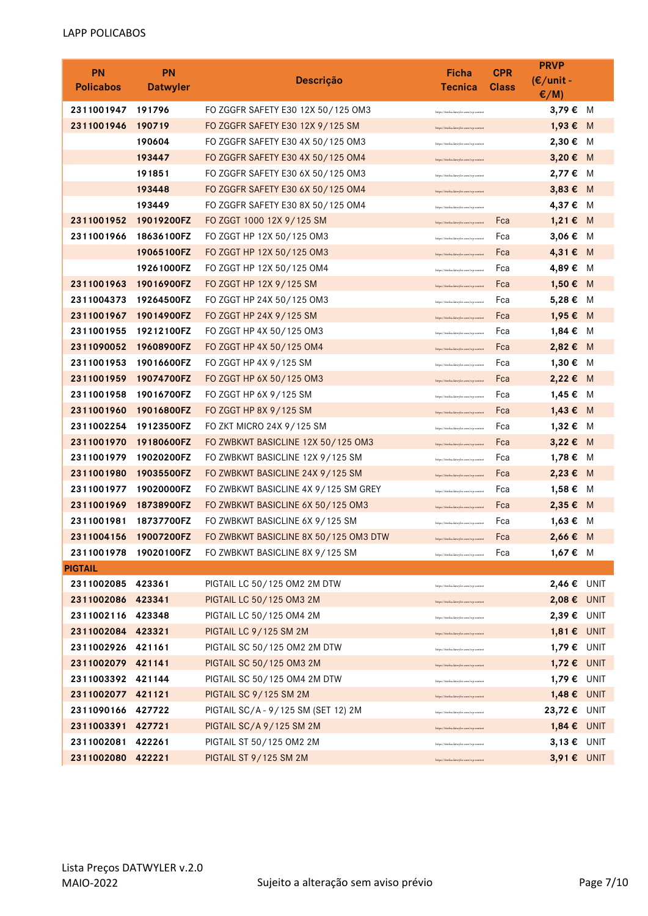| <b>PN</b>         | <b>PN</b>       |                                       | Ficha                                   | <b>CPR</b>   | <b>PRVP</b>     |   |
|-------------------|-----------------|---------------------------------------|-----------------------------------------|--------------|-----------------|---|
| <b>Policabos</b>  | <b>Datwyler</b> | <b>Descrição</b>                      | <b>Tecnica</b>                          | <b>Class</b> | $(E/unit -$     |   |
|                   |                 |                                       |                                         |              | $\epsilon/M$ )  |   |
| 2311001947        | 191796          | FO ZGGFR SAFETY E30 12X 50/125 OM3    | https://itinfra.datwyler.com/wp-conten  |              | 3,79 € M        |   |
| 2311001946        | 190719          | FO ZGGFR SAFETY E30 12X 9/125 SM      | https://itinfra.datwyler.com/wp-content |              | 1,93 € M        |   |
|                   | 190604          | FO ZGGFR SAFETY E30 4X 50/125 OM3     | https://itinfra.datwyler.com/wp-conten  |              | 2,30 € M        |   |
|                   | 193447          | FO ZGGFR SAFETY E30 4X 50/125 OM4     | https://itinfra.datwyler.com/wp-content |              | 3,20 € M        |   |
|                   | 191851          | FO ZGGFR SAFETY E30 6X 50/125 OM3     | https://itinfra.datwyler.com/wp-content |              | 2,77 €          | M |
|                   | 193448          | FO ZGGFR SAFETY E30 6X 50/125 OM4     | https://itinfra.datwyler.com/wp-content |              | 3,83 € M        |   |
|                   | 193449          | FO ZGGFR SAFETY E30 8X 50/125 OM4     | https://itinfra.datwyler.com/wp-content |              | 4,37 € M        |   |
| 2311001952        | 19019200FZ      | FO ZGGT 1000 12X 9/125 SM             | https://itinfra.datwyler.com/wp-content | Fca          | $1,21 \in M$    |   |
| 2311001966        | 18636100FZ      | FO ZGGT HP 12X 50/125 OM3             | https://itinfra.datwyler.com/wp-content | Fca          | 3,06 € M        |   |
|                   | 19065100FZ      | FO ZGGT HP 12X 50/125 OM3             | https://itinfra.datwyler.com/wp-content | Fca          | 4,31€ M         |   |
|                   | 19261000FZ      | FO ZGGT HP 12X 50/125 OM4             | https://itinfra.datwyler.com/wp-content | Fca          | 4,89€           | M |
| 2311001963        | 19016900FZ      | FO ZGGT HP 12X 9/125 SM               | https://itinfra.datwyler.com/wp-content | Fca          | 1,50 € M        |   |
| 2311004373        | 19264500FZ      | FO ZGGT HP 24X 50/125 OM3             | https://itinfra.datwyler.com/wp-content | Fca          | 5,28 € M        |   |
| 2311001967        | 19014900FZ      | FO ZGGT HP 24X 9/125 SM               | https://itinfra.datwyler.com/wp-content | Fca          | 1,95 € M        |   |
| 2311001955        | 19212100FZ      | FO ZGGT HP 4X 50/125 OM3              | https://itinfra.datwyler.com/wp-content | Fca          | 1,84 €          | M |
| 2311090052        | 19608900FZ      | FO ZGGT HP 4X 50/125 OM4              | https://itinfra.datwyler.com/wp-content | Fca          | 2,82 € M        |   |
| 2311001953        | 19016600FZ      | FO ZGGT HP 4X 9/125 SM                | https://itinfra.datwyler.com/wp-content | Fca          | 1,30 € M        |   |
| 2311001959        | 19074700FZ      | FO ZGGT HP 6X 50/125 OM3              | https://itinfra.datwyler.com/wp-content | Fca          | 2,22 € M        |   |
| 2311001958        | 19016700FZ      | FO ZGGT HP 6X 9/125 SM                | https://itinfra.datwyler.com/wp-content | Fca          | 1,45 € M        |   |
| 2311001960        | 19016800FZ      | FO ZGGT HP 8X 9/125 SM                | https://itinfra.datwyler.com/wp-content | Fca          | 1,43 € M        |   |
| 2311002254        | 19123500FZ      | FO ZKT MICRO 24X 9/125 SM             | https://itinfra.datwyler.com/wp-content | Fca          | 1,32 € M        |   |
| 2311001970        | 19180600FZ      | FO ZWBKWT BASICLINE 12X 50/125 OM3    | https://itinfra.datwyler.com/wp-content | Fca          | 3,22 € M        |   |
| 2311001979        | 19020200FZ      | FO ZWBKWT BASICLINE 12X 9/125 SM      | https://itinfra.datwyler.com/wp-content | Fca          | 1,78 € M        |   |
| 2311001980        | 19035500FZ      | FO ZWBKWT BASICLINE 24X 9/125 SM      | https://itinfra.datwyler.com/wp-content | Fca          | 2,23 € M        |   |
| 2311001977        | 19020000FZ      | FO ZWBKWT BASICLINE 4X 9/125 SM GREY  | https://itinfra.datwyler.com/wp-content | Fca          | 1,58€           | M |
| 2311001969        | 18738900FZ      | FO ZWBKWT BASICLINE 6X 50/125 OM3     | https://itinfra.datwyler.com/wp-content | Fca          | 2,35 € M        |   |
| 2311001981        | 18737700FZ      | FO ZWBKWT BASICLINE 6X 9/125 SM       | https://itinfra.datwyler.com/wp-content | Fca          | 1,63 € M        |   |
| 2311004156        | 19007200FZ      | FO ZWBKWT BASICLINE 8X 50/125 OM3 DTW | https://itinfra.datwyler.com/wp-content | Fca          | 2,66 € M        |   |
| 2311001978        | 19020100FZ      | FO ZWBKWT BASICLINE 8X 9/125 SM       | https://itinfra.datwyler.com/wp-content | Fca          | 1,67 € M        |   |
| <b>PIGTAIL</b>    |                 |                                       |                                         |              |                 |   |
| 2311002085 423361 |                 | PIGTAIL LC 50/125 OM2 2M DTW          | https://itinfra.datwyler.com/wp-conten  |              | 2,46 € UNIT     |   |
| 2311002086 423341 |                 | PIGTAIL LC 50/125 OM3 2M              | https://itinfra.datwyler.com/wp-conten  |              | $2,08 €$ UNIT   |   |
| 2311002116 423348 |                 | PIGTAIL LC 50/125 OM4 2M              | https://itinfra.datwyler.com/wp-conten  |              | 2,39 € UNIT     |   |
| 2311002084 423321 |                 | PIGTAIL LC 9/125 SM 2M                | https://itinfra.datwyler.com/wp-conten  |              | $1,81 \in$ UNIT |   |
| 2311002926 421161 |                 | PIGTAIL SC 50/125 OM2 2M DTW          | https://itinfra.datwyler.com/wp-conten  |              | 1,79 € UNIT     |   |
| 2311002079 421141 |                 | PIGTAIL SC 50/125 OM3 2M              | https://itinfra.datwyler.com/wp-conten  |              | 1,72 € UNIT     |   |
| 2311003392 421144 |                 | PIGTAIL SC 50/125 OM4 2M DTW          | https://itinfra.datwyler.com/wp-conten  |              | 1,79 € UNIT     |   |
| 2311002077 421121 |                 | <b>PIGTAIL SC 9/125 SM 2M</b>         | https://itinfra.datwyler.com/wp-conten  |              | 1,48 € UNIT     |   |
| 2311090166 427722 |                 | PIGTAIL SC/A - 9/125 SM (SET 12) 2M   | https://itinfra.datwyler.com/wp-conten  |              | 23,72 € UNIT    |   |
| 2311003391 427721 |                 | PIGTAIL SC/A 9/125 SM 2M              | https://itinfra.datwyler.com/wp-conten  |              | 1,84 € UNIT     |   |
| 2311002081 422261 |                 | PIGTAIL ST 50/125 OM2 2M              | https://itinfra.datwyler.com/wp-conten  |              | 3,13 € UNIT     |   |
| 2311002080        | 422221          | <b>PIGTAIL ST 9/125 SM 2M</b>         | https://itinfra.datwyler.com/wp-content |              | 3,91 € UNIT     |   |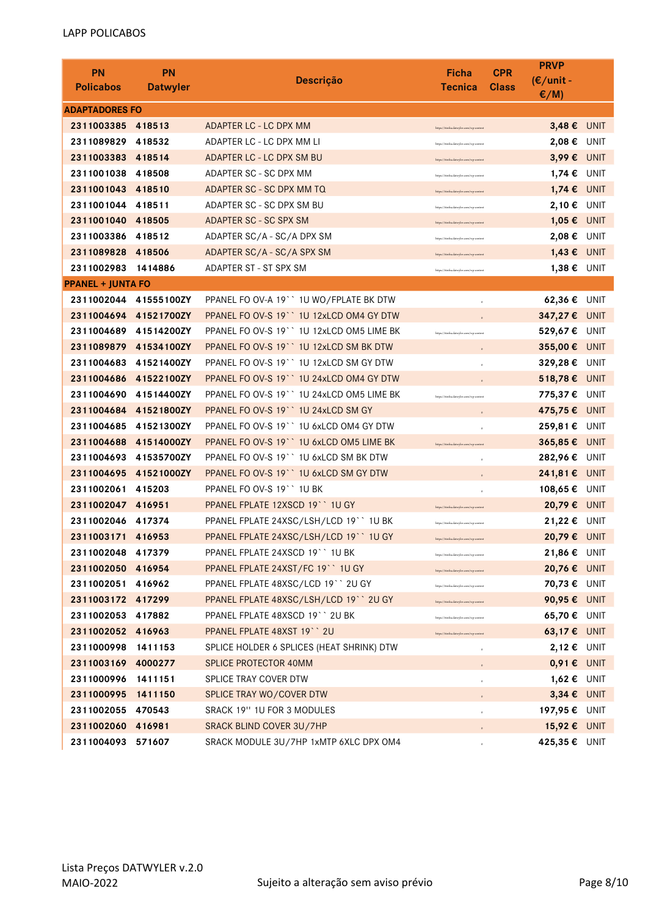| <b>PN</b><br><b>Policabos</b> | <b>PN</b><br><b>Datwyler</b> | <b>Descrição</b>                          | Ficha<br><b>Tecnica</b>                | <b>PRVP</b><br><b>CPR</b><br>$(E/unit -$<br><b>Class</b><br>$E/M$ ) |                 |  |  |  |
|-------------------------------|------------------------------|-------------------------------------------|----------------------------------------|---------------------------------------------------------------------|-----------------|--|--|--|
|                               | <b>ADAPTADORES FO</b>        |                                           |                                        |                                                                     |                 |  |  |  |
| 2311003385                    | 418513                       | ADAPTER LC - LC DPX MM                    | https://itinfra.datwyler.com/wp-conten |                                                                     | 3,48 € UNIT     |  |  |  |
| 2311089829                    | 418532                       | ADAPTER LC - LC DPX MM LI                 | https://itinfra.datwyler.com/wp-conter | 2,08€                                                               | UNIT            |  |  |  |
| 2311003383                    | 418514                       | ADAPTER LC - LC DPX SM BU                 | https://itinfra.datyeder.com/wp-conte  |                                                                     | 3,99 € UNIT     |  |  |  |
| 2311001038                    | 418508                       | ADAPTER SC - SC DPX MM                    | https://itinfra.datwyler.com/wp-conten |                                                                     | 1,74 € UNIT     |  |  |  |
| 2311001043 418510             |                              | ADAPTER SC - SC DPX MM TQ                 | https://itinfra.datwyler.com/wp-conte  |                                                                     | 1,74 € UNIT     |  |  |  |
| 2311001044                    | 418511                       | ADAPTER SC - SC DPX SM BU                 | https://itinfra.datwyler.com/wp-conter |                                                                     | 2,10 € UNIT     |  |  |  |
| 2311001040                    | 418505                       | ADAPTER SC - SC SPX SM                    | https://itinfra.datwyler.com/wp-conten |                                                                     | 1,05 € UNIT     |  |  |  |
| 2311003386                    | 418512                       | ADAPTER SC/A - SC/A DPX SM                | https://itinfra.datwyler.com/wp-conten |                                                                     | 2,08 € UNIT     |  |  |  |
| 2311089828                    | 418506                       | ADAPTER SC/A - SC/A SPX SM                | https://itinfra.datwyler.com/wp-cont-  |                                                                     | 1,43 € UNIT     |  |  |  |
| 2311002983                    | 1414886                      | ADAPTER ST - ST SPX SM                    | https://itinfra.datwyler.com/wp-conten |                                                                     | $1,38 \in$ UNIT |  |  |  |
| <b>PPANEL + JUNTA FO</b>      |                              |                                           |                                        |                                                                     |                 |  |  |  |
|                               | 2311002044 41555100ZY        | PPANEL FO OV-A 19 ` 1U WO/FPLATE BK DTW   | $\alpha$                               |                                                                     | 62,36 € UNIT    |  |  |  |
| 2311004694                    | 41521700ZY                   | PPANEL FO OV-S 19" 1U 12xLCD OM4 GY DTW   |                                        |                                                                     | 347,27 € UNIT   |  |  |  |
| 2311004689                    | 41514200ZY                   | PPANEL FO OV-S 19" 1U 12xLCD OM5 LIME BK  | https://itinfra.datwyler.com/wp-conten | 529,67€                                                             | UNIT            |  |  |  |
| 2311089879                    | 41534100ZY                   | PPANEL FO OV-S 19" 1U 12xLCD SM BK DTW    |                                        |                                                                     | 355,00 € UNIT   |  |  |  |
| 2311004683                    | 41521400ZY                   | PPANEL FO OV-S 19" 1U 12xLCD SM GY DTW    |                                        |                                                                     | 329,28 € UNIT   |  |  |  |
| 2311004686                    | 41522100ZY                   | PPANEL FO OV-S 19" 1U 24xLCD OM4 GY DTW   |                                        |                                                                     | 518,78 € UNIT   |  |  |  |
| 2311004690                    | 41514400ZY                   | PPANEL FO OV-S 19" 1U 24xLCD OM5 LIME BK  | https://itinfra.datwyler.com/wp-conter | 775,37€                                                             | UNIT            |  |  |  |
| 2311004684                    | 41521800ZY                   | PPANEL FO OV-S 19 10 24xLCD SM GY         | $\mathfrak{o}$                         |                                                                     | 475,75 € UNIT   |  |  |  |
| 2311004685                    | 41521300ZY                   | PPANEL FO OV-S 19" 1U 6xLCD OM4 GY DTW    | $\mathfrak{g}$                         | 259,81€                                                             | UNIT            |  |  |  |
| 2311004688                    | 41514000ZY                   | PPANEL FO OV-S 19 `` 1U 6xLCD OM5 LIME BK | https://itinfra.datwyler.com/wp-conten | 365,85 €                                                            | UNIT            |  |  |  |
| 2311004693                    | 41535700ZY                   | PPANEL FO OV-S 19 `` 1U 6xLCD SM BK DTW   | $\circ$                                |                                                                     | 282,96 € UNIT   |  |  |  |
| 2311004695                    | 41521000ZY                   | PPANEL FO OV-S 19" 1U 6xLCD SM GY DTW     |                                        |                                                                     | 241,81 € UNIT   |  |  |  |
| 2311002061                    | 415203                       | PPANEL FO OV-S 19" 1U BK                  |                                        | 108,65 €                                                            | UNIT            |  |  |  |
| 2311002047 416951             |                              | PPANEL FPLATE 12XSCD 19" 1U GY            | https://itinfra.datwyler.com/wp-conter |                                                                     | 20,79 € UNIT    |  |  |  |
| 2311002046                    | 417374                       | PPANEL FPLATE 24XSC/LSH/LCD 19 ` 1U BK    | https://itinfra.datwyler.com/wp-conten | 21,22€                                                              | UNIT            |  |  |  |
| 2311003171 416953             |                              | PPANEL FPLATE 24XSC/LSH/LCD 19 `` 1U GY   | https://itinfra.datwyler.com/wp-conten |                                                                     | 20,79 € UNIT    |  |  |  |
| 2311002048                    | 417379                       | PPANEL FPLATE 24XSCD 19" 1U BK            | https://itinfra.datwyler.com/wp-conte  |                                                                     | 21,86 € UNIT    |  |  |  |
| 2311002050 416954             |                              | PPANEL FPLATE 24XST/FC 19" 1U GY          | https://itinfra.datwyler.com/wp-conter |                                                                     | 20,76 € UNIT    |  |  |  |
| 2311002051 416962             |                              | PPANEL FPLATE 48XSC/LCD 19" 2U GY         |                                        |                                                                     | 70,73 € UNIT    |  |  |  |
| 2311003172 417299             |                              | PPANEL FPLATE 48XSC/LSH/LCD 19" 2U GY     | https://itinfra.datwyler.com/wp-conter |                                                                     | 90,95 € UNIT    |  |  |  |
| 2311002053 417882             |                              | PPANEL FPLATE 48XSCD 19" 2U BK            | https://itinfra.datwyler.com/wp-conter |                                                                     | 65,70 € UNIT    |  |  |  |
| 2311002052 416963             |                              | PPANEL FPLATE 48XST 19" 2U                | https://itinfra.datwyler.com/wp-conten |                                                                     | 63,17 € UNIT    |  |  |  |
| 2311000998                    | 1411153                      | SPLICE HOLDER 6 SPLICES (HEAT SHRINK) DTW | $\mathfrak o$                          |                                                                     | 2,12 € UNIT     |  |  |  |
| 2311003169                    | 4000277                      | SPLICE PROTECTOR 40MM                     |                                        |                                                                     | $0,91 \in UNIT$ |  |  |  |
| 2311000996                    | 1411151                      | SPLICE TRAY COVER DTW                     | $\mathfrak o$                          |                                                                     | 1,62 € UNIT     |  |  |  |
| 2311000995                    | 1411150                      | SPLICE TRAY WO/COVER DTW                  |                                        |                                                                     | 3,34 € UNIT     |  |  |  |
| 2311002055                    | 470543                       | SRACK 19" 1U FOR 3 MODULES                |                                        |                                                                     | 197,95 € UNIT   |  |  |  |
| 2311002060                    | 416981                       | SRACK BLIND COVER 3U/7HP                  |                                        |                                                                     | 15,92 € UNIT    |  |  |  |
| 2311004093 571607             |                              | SRACK MODULE 3U/7HP 1xMTP 6XLC DPX OM4    | $\mathfrak o$                          | 425,35€                                                             | UNIT            |  |  |  |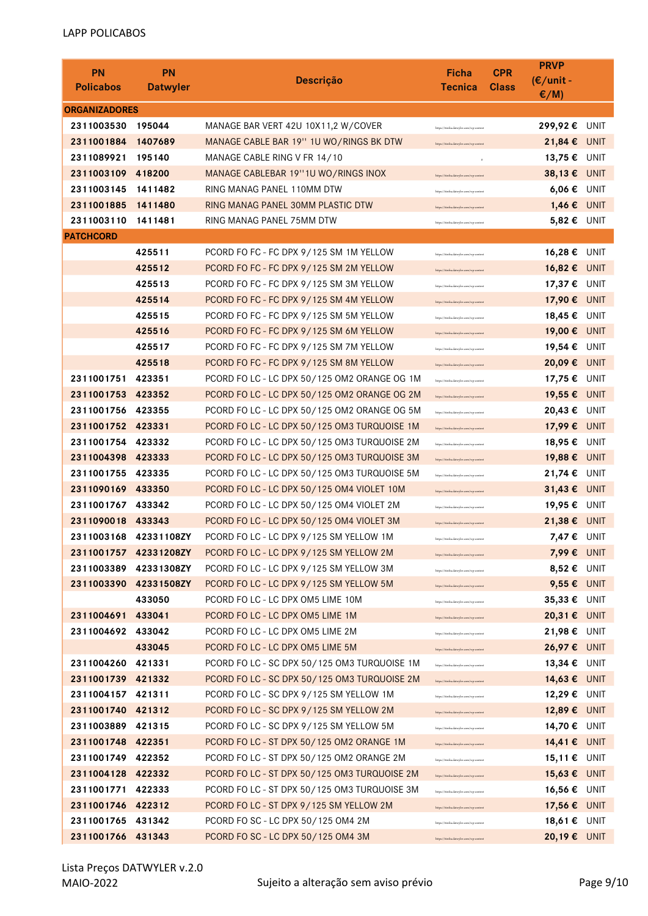| <b>PN</b><br><b>Policabos</b> | <b>PN</b><br><b>Datwyler</b> | <b>Descrição</b>                                                     | Ficha<br><b>Tecnica</b>                                                           | <b>CPR</b><br><b>Class</b> | <b>PRVP</b><br>$(E/unit -$<br>$E/M$ ) |             |
|-------------------------------|------------------------------|----------------------------------------------------------------------|-----------------------------------------------------------------------------------|----------------------------|---------------------------------------|-------------|
| <b>ORGANIZADORES</b>          |                              |                                                                      |                                                                                   |                            |                                       |             |
| 2311003530                    | 195044                       | MANAGE BAR VERT 42U 10X11,2 W/COVER                                  | https://itinfra.datwyler.com/wp-conte                                             |                            | 299,92 € UNIT                         |             |
| 2311001884                    | 1407689                      | MANAGE CABLE BAR 19" 1U WO/RINGS BK DTW                              | https://itinfra.datwyler.com/wp-content                                           |                            | 21,84 € UNIT                          |             |
| 2311089921                    | 195140                       | MANAGE CABLE RING V FR 14/10                                         | $\circ$                                                                           |                            | 13,75 €                               | <b>UNIT</b> |
| 2311003109                    | 418200                       | MANAGE CABLEBAR 19"1U WO/RINGS INOX                                  | https://itinfra.datwyler.com/wp-conten                                            |                            | 38,13€                                | <b>UNIT</b> |
| 2311003145                    | 1411482                      | RING MANAG PANEL 110MM DTW                                           | https://itinfra.datwyler.com/wp-conten                                            |                            | 6,06 €                                | UNIT        |
| 2311001885                    | 1411480                      | RING MANAG PANEL 30MM PLASTIC DTW                                    | https://itinfra.datwyler.com/wp-conter                                            |                            | 1,46€                                 | <b>UNIT</b> |
| 2311003110                    | 1411481                      | RING MANAG PANEL 75MM DTW                                            | https://itinfra.datwyler.com/wp-conten                                            |                            | 5,82 € UNIT                           |             |
| <b>PATCHCORD</b>              |                              |                                                                      |                                                                                   |                            |                                       |             |
|                               | 425511                       | PCORD FO FC - FC DPX 9/125 SM 1M YELLOW                              | https://itinfra.datwyler.com/wp-conter                                            |                            | 16,28€                                | UNIT        |
|                               | 425512                       | PCORD FO FC - FC DPX 9/125 SM 2M YELLOW                              | https://itinfra.datwyler.com/wp-conten                                            |                            | 16,82€                                | <b>UNIT</b> |
|                               | 425513                       | PCORD FO FC - FC DPX 9/125 SM 3M YELLOW                              | https://itinfra.datwyler.com/wp-conter                                            |                            | 17,37 € UNIT                          |             |
|                               | 425514                       | PCORD FO FC - FC DPX 9/125 SM 4M YELLOW                              | https://itinfra.datwyler.com/wp-conten                                            |                            | 17,90 € UNIT                          |             |
|                               | 425515                       | PCORD FO FC - FC DPX 9/125 SM 5M YELLOW                              | https://itinfra.datwyler.com/wp-conten                                            |                            | 18,45 € UNIT                          |             |
|                               | 425516                       | PCORD FO FC - FC DPX 9/125 SM 6M YELLOW                              | https://itinfra.datwyler.com/wp-conten                                            |                            | 19,00 € UNIT                          |             |
|                               | 425517                       | PCORD FO FC - FC DPX 9/125 SM 7M YELLOW                              | https://itinfra.datwyler.com/wp-conten                                            |                            | 19,54 €                               | UNIT        |
|                               | 425518                       | PCORD FO FC - FC DPX 9/125 SM 8M YELLOW                              | https://itinfra.datwyler.com/wp-conten                                            |                            | 20,09 € UNIT                          |             |
| 2311001751                    | 423351                       | PCORD FO LC - LC DPX 50/125 OM2 ORANGE OG 1M                         | https://itinfra.datwyler.com/wp-conten                                            |                            | 17,75 € UNIT                          |             |
| 2311001753                    | 423352                       | PCORD FO LC - LC DPX 50/125 OM2 ORANGE OG 2M                         | https://itinfra.datwyler.com/wp-conten                                            |                            | 19,55 € UNIT                          |             |
| 2311001756                    | 423355                       | PCORD FO LC - LC DPX 50/125 OM2 ORANGE OG 5M                         | https://itinfra.datwyler.com/wp-conter                                            |                            | 20,43€                                | UNIT        |
| 2311001752                    | 423331                       | PCORD FO LC - LC DPX 50/125 OM3 TURQUOISE 1M                         | https://itinfra.datwyler.com/wp-conten                                            |                            | 17,99€                                | <b>UNIT</b> |
| 2311001754                    | 423332                       | PCORD FO LC - LC DPX 50/125 OM3 TURQUOISE 2M                         | https://itinfra.datwyler.com/wp-conten                                            |                            | 18,95€                                | UNIT        |
| 2311004398                    | 423333                       | PCORD FO LC - LC DPX 50/125 OM3 TURQUOISE 3M                         | https://itinfra.datwyler.com/wp-conten                                            |                            | 19,88€                                | <b>UNIT</b> |
| 2311001755                    | 423335                       | PCORD FO LC - LC DPX 50/125 OM3 TURQUOISE 5M                         | https://itinfra.datwyler.com/wp-conten                                            |                            | 21,74 € UNIT                          |             |
| 2311090169                    | 433350                       | PCORD FO LC - LC DPX 50/125 OM4 VIOLET 10M                           | https://itinfra.datwyler.com/wp-conten                                            |                            | 31,43 € UNIT                          |             |
| 2311001767                    | 433342                       | PCORD FO LC - LC DPX 50/125 OM4 VIOLET 2M                            | https://itinfra.datwyler.com/wp-content                                           |                            | 19,95 € UNIT                          |             |
| 2311090018                    | 433343                       | PCORD FO LC - LC DPX 50/125 OM4 VIOLET 3M                            | https://itinfra.datwyler.com/wp-conte                                             |                            | 21,38 € UNIT                          |             |
| 2311003168 42331108ZY         |                              | PCORD FO LC - LC DPX 9/125 SM YELLOW 1M                              | https://itinfra.datwyler.com/wp-content                                           |                            | 7,47 € UNIT                           |             |
| 2311001757                    | 42331208ZY                   | PCORD FO LC - LC DPX 9/125 SM YELLOW 2M                              | https://itinfra.datwyler.com/wp-conten                                            |                            | 7,99 € UNIT                           |             |
| 2311003389                    | 42331308ZY                   | PCORD FO LC - LC DPX 9/125 SM YELLOW 3M                              | attps://itinfra.datwyler.com/wp-content                                           |                            | 8,52 € UNIT                           |             |
| 2311003390                    | 42331508ZY                   | PCORD FO LC - LC DPX 9/125 SM YELLOW 5M                              | https://itinfra.datwyler.com/wp-conten                                            |                            | 9,55 € UNIT                           |             |
|                               | 433050                       | PCORD FO LC - LC DPX OM5 LIME 10M                                    | https://itinfra.datwyler.com/wp-conten                                            |                            | 35,33 € UNIT                          |             |
| 2311004691                    | 433041                       | PCORD FO LC - LC DPX OM5 LIME 1M                                     | https://itinfra.datwyler.com/wp-content                                           |                            | 20,31 € UNIT                          |             |
| 2311004692                    | 433042<br>433045             | PCORD FO LC - LC DPX OM5 LIME 2M<br>PCORD FO LC - LC DPX OM5 LIME 5M | https://itinfra.datwyler.com/wp-content                                           |                            | 21,98 € UNIT<br>26,97 € UNIT          |             |
| 2311004260                    | 421331                       | PCORD FO LC - SC DPX 50/125 OM3 TURQUOISE 1M                         | https://itinfra.datwyler.com/wp-content                                           |                            | 13,34 € UNIT                          |             |
| 2311001739                    | 421332                       | PCORD FO LC - SC DPX 50/125 OM3 TURQUOISE 2M                         | https://itinfra.datwyler.com/wp-content                                           |                            | 14,63 € UNIT                          |             |
| 2311004157                    | 421311                       | PCORD FO LC - SC DPX 9/125 SM YELLOW 1M                              | https://itinfra.datwyler.com/wp-content                                           |                            | 12,29 € UNIT                          |             |
| 2311001740                    | 421312                       | PCORD FO LC - SC DPX 9/125 SM YELLOW 2M                              | https://itinfra.datwyler.com/wp-content                                           |                            | 12,89 € UNIT                          |             |
| 2311003889                    | 421315                       | PCORD FO LC - SC DPX 9/125 SM YELLOW 5M                              | https://itinfra.datwyler.com/wp-conten                                            |                            | 14,70 € UNIT                          |             |
| 2311001748                    | 422351                       | PCORD FO LC - ST DPX 50/125 OM2 ORANGE 1M                            | https://itinfra.datwyler.com/wp-conten                                            |                            | 14,41 € UNIT                          |             |
| 2311001749                    | 422352                       | PCORD FO LC - ST DPX 50/125 OM2 ORANGE 2M                            | https://itinfra.datwyler.com/wp-content                                           |                            | 15,11 € UNIT                          |             |
| 2311004128                    | 422332                       | PCORD FO LC - ST DPX 50/125 OM3 TURQUOISE 2M                         | https://itinfra.datwyler.com/wp-content<br>https://itinfra.datwyler.com/wp-conten |                            | 15,63 € UNIT                          |             |
| 2311001771                    | 422333                       | PCORD FO LC - ST DPX 50/125 OM3 TURQUOISE 3M                         | https://itinfra.datwyler.com/wp-content                                           |                            | 16,56 € UNIT                          |             |
| 2311001746                    | 422312                       | PCORD FO LC - ST DPX 9/125 SM YELLOW 2M                              | https://itinfra.datwyler.com/wp-conten                                            |                            | 17,56 € UNIT                          |             |
| 2311001765                    | 431342                       | PCORD FO SC - LC DPX 50/125 OM4 2M                                   | https://itinfra.datwyler.com/wp-conten                                            |                            | 18,61 € UNIT                          |             |
| 2311001766                    | 431343                       | PCORD FO SC - LC DPX 50/125 OM4 3M                                   | https://itinfra.datwyler.com/wp-content                                           |                            | 20,19 € UNIT                          |             |